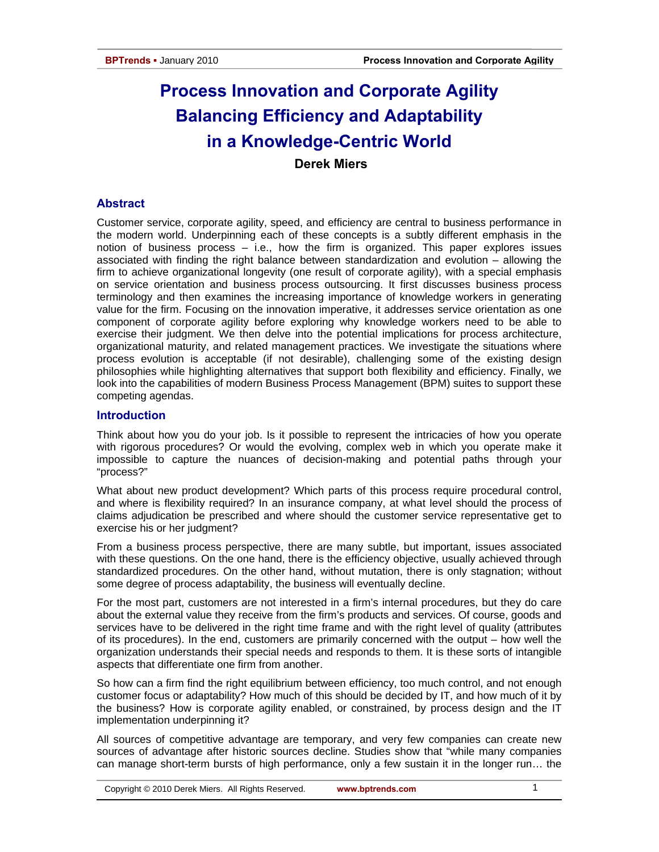# **Process Innovation and Corporate Agility Balancing Efficiency and Adaptability in a Knowledge-Centric World**

 **Derek Miers** 

# **Abstract**

Customer service, corporate agility, speed, and efficiency are central to business performance in the modern world. Underpinning each of these concepts is a subtly different emphasis in the notion of business process – i.e., how the firm is organized. This paper explores issues associated with finding the right balance between standardization and evolution – allowing the firm to achieve organizational longevity (one result of corporate agility), with a special emphasis on service orientation and business process outsourcing. It first discusses business process terminology and then examines the increasing importance of knowledge workers in generating value for the firm. Focusing on the innovation imperative, it addresses service orientation as one component of corporate agility before exploring why knowledge workers need to be able to exercise their judgment. We then delve into the potential implications for process architecture, organizational maturity, and related management practices. We investigate the situations where process evolution is acceptable (if not desirable), challenging some of the existing design philosophies while highlighting alternatives that support both flexibility and efficiency. Finally, we look into the capabilities of modern Business Process Management (BPM) suites to support these competing agendas.

# **Introduction**

Think about how you do your job. Is it possible to represent the intricacies of how you operate with rigorous procedures? Or would the evolving, complex web in which you operate make it impossible to capture the nuances of decision-making and potential paths through your "process?"

What about new product development? Which parts of this process require procedural control, and where is flexibility required? In an insurance company, at what level should the process of claims adjudication be prescribed and where should the customer service representative get to exercise his or her judgment?

From a business process perspective, there are many subtle, but important, issues associated with these questions. On the one hand, there is the efficiency objective, usually achieved through standardized procedures. On the other hand, without mutation, there is only stagnation; without some degree of process adaptability, the business will eventually decline.

For the most part, customers are not interested in a firm's internal procedures, but they do care about the external value they receive from the firm's products and services. Of course, goods and services have to be delivered in the right time frame and with the right level of quality (attributes of its procedures). In the end, customers are primarily concerned with the output – how well the organization understands their special needs and responds to them. It is these sorts of intangible aspects that differentiate one firm from another.

So how can a firm find the right equilibrium between efficiency, too much control, and not enough customer focus or adaptability? How much of this should be decided by IT, and how much of it by the business? How is corporate agility enabled, or constrained, by process design and the IT implementation underpinning it?

All sources of competitive advantage are temporary, and very few companies can create new sources of advantage after historic sources decline. Studies show that "while many companies can manage short-term bursts of high performance, only a few sustain it in the longer run… the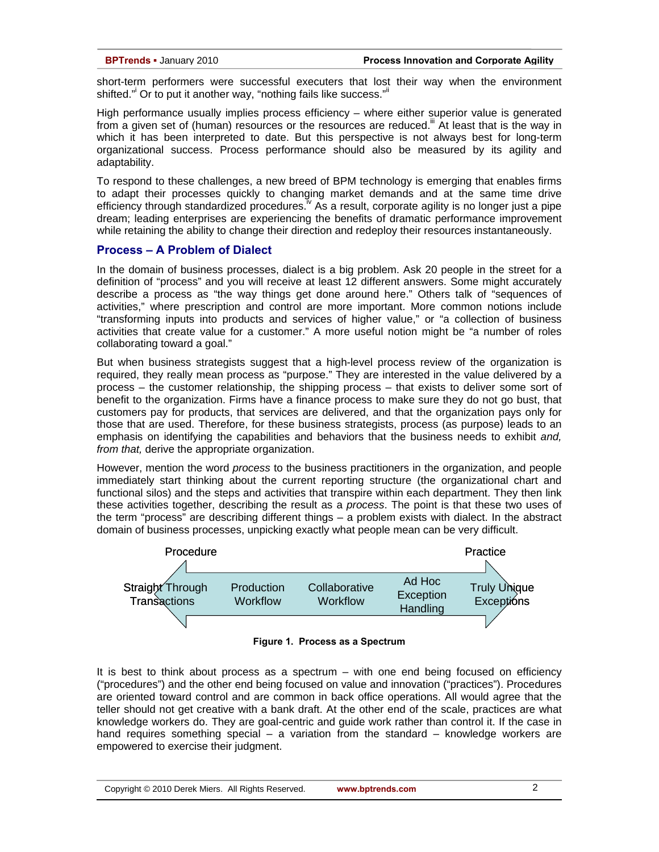short-term performers were successful executers that lost their way when the environment shifted." Or to put it another way, "nothing fails like success." If

High performance usually implies process efficiency – where either superior value is generated from a given set of (human) resources or the resources are reduced.<sup>iii</sup> At least that is the way in which it has been interpreted to date. But this perspective is not always best for long-term organizational success. Process performance should also be measured by its agility and adaptability.

To respond to these challenges, a new breed of BPM technology is emerging that enables firms to adapt their processes quickly to changing market demands and at the same time drive efficiency through standardized procedures.<sup> $v$ </sup> As a result, corporate agility is no longer just a pipe dream; leading enterprises are experiencing the benefits of dramatic performance improvement while retaining the ability to change their direction and redeploy their resources instantaneously.

### **Process – A Problem of Dialect**

In the domain of business processes, dialect is a big problem. Ask 20 people in the street for a definition of "process" and you will receive at least 12 different answers. Some might accurately describe a process as "the way things get done around here." Others talk of "sequences of activities," where prescription and control are more important. More common notions include "transforming inputs into products and services of higher value," or "a collection of business activities that create value for a customer." A more useful notion might be "a number of roles collaborating toward a goal."

But when business strategists suggest that a high-level process review of the organization is required, they really mean process as "purpose." They are interested in the value delivered by a process – the customer relationship, the shipping process – that exists to deliver some sort of benefit to the organization. Firms have a finance process to make sure they do not go bust, that customers pay for products, that services are delivered, and that the organization pays only for those that are used. Therefore, for these business strategists, process (as purpose) leads to an emphasis on identifying the capabilities and behaviors that the business needs to exhibit *and, from that,* derive the appropriate organization.

However, mention the word *process* to the business practitioners in the organization, and people immediately start thinking about the current reporting structure (the organizational chart and functional silos) and the steps and activities that transpire within each department. They then link these activities together, describing the result as a *process*. The point is that these two uses of the term "process" are describing different things – a problem exists with dialect. In the abstract domain of business processes, unpicking exactly what people mean can be very difficult.





It is best to think about process as a spectrum – with one end being focused on efficiency ("procedures") and the other end being focused on value and innovation ("practices"). Procedures are oriented toward control and are common in back office operations. All would agree that the teller should not get creative with a bank draft. At the other end of the scale, practices are what knowledge workers do. They are goal-centric and guide work rather than control it. If the case in hand requires something special – a variation from the standard – knowledge workers are empowered to exercise their judgment.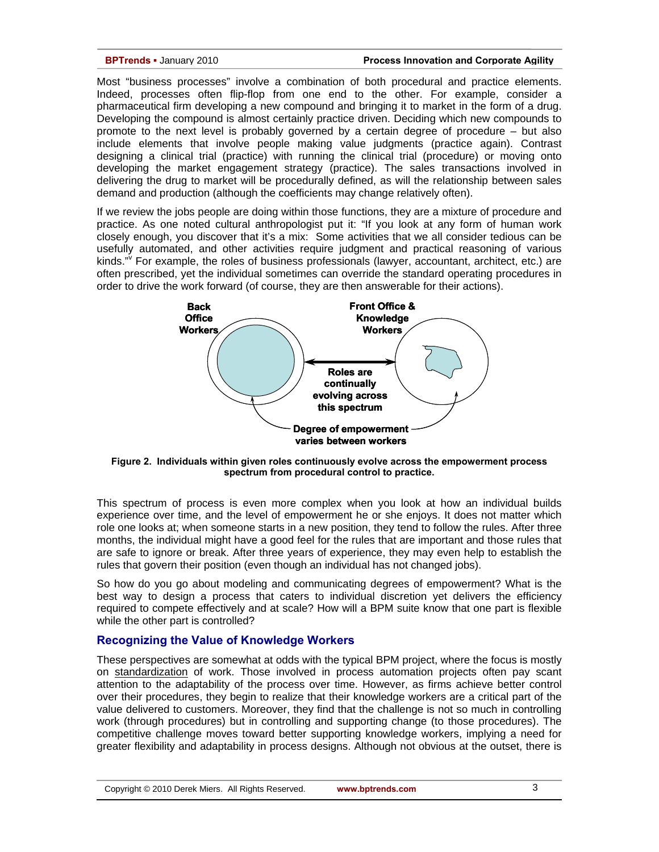Most "business processes" involve a combination of both procedural and practice elements. Indeed, processes often flip-flop from one end to the other. For example, consider a pharmaceutical firm developing a new compound and bringing it to market in the form of a drug. Developing the compound is almost certainly practice driven. Deciding which new compounds to promote to the next level is probably governed by a certain degree of procedure – but also include elements that involve people making value judgments (practice again). Contrast designing a clinical trial (practice) with running the clinical trial (procedure) or moving onto developing the market engagement strategy (practice). The sales transactions involved in delivering the drug to market will be procedurally defined, as will the relationship between sales demand and production (although the coefficients may change relatively often).

If we review the jobs people are doing within those functions, they are a mixture of procedure and practice. As one noted cultural anthropologist put it: "If you look at any form of human work closely enough, you discover that it's a mix: Some activities that we all consider tedious can be usefully automated, and other activities require judgment and practical reasoning of various kinds." For example, the roles of business professionals (lawyer, accountant, architect, etc.) are often prescribed, yet the individual sometimes can override the standard operating procedures in order to drive the work forward (of course, they are then answerable for their actions).



**Figure 2. Individuals within given roles continuously evolve across the empowerment process spectrum from procedural control to practice.** 

This spectrum of process is even more complex when you look at how an individual builds experience over time, and the level of empowerment he or she enjoys. It does not matter which role one looks at; when someone starts in a new position, they tend to follow the rules. After three months, the individual might have a good feel for the rules that are important and those rules that are safe to ignore or break. After three years of experience, they may even help to establish the rules that govern their position (even though an individual has not changed jobs).

So how do you go about modeling and communicating degrees of empowerment? What is the best way to design a process that caters to individual discretion yet delivers the efficiency required to compete effectively and at scale? How will a BPM suite know that one part is flexible while the other part is controlled?

### **Recognizing the Value of Knowledge Workers**

These perspectives are somewhat at odds with the typical BPM project, where the focus is mostly on standardization of work. Those involved in process automation projects often pay scant attention to the adaptability of the process over time. However, as firms achieve better control over their procedures, they begin to realize that their knowledge workers are a critical part of the value delivered to customers. Moreover, they find that the challenge is not so much in controlling work (through procedures) but in controlling and supporting change (to those procedures). The competitive challenge moves toward better supporting knowledge workers, implying a need for greater flexibility and adaptability in process designs. Although not obvious at the outset, there is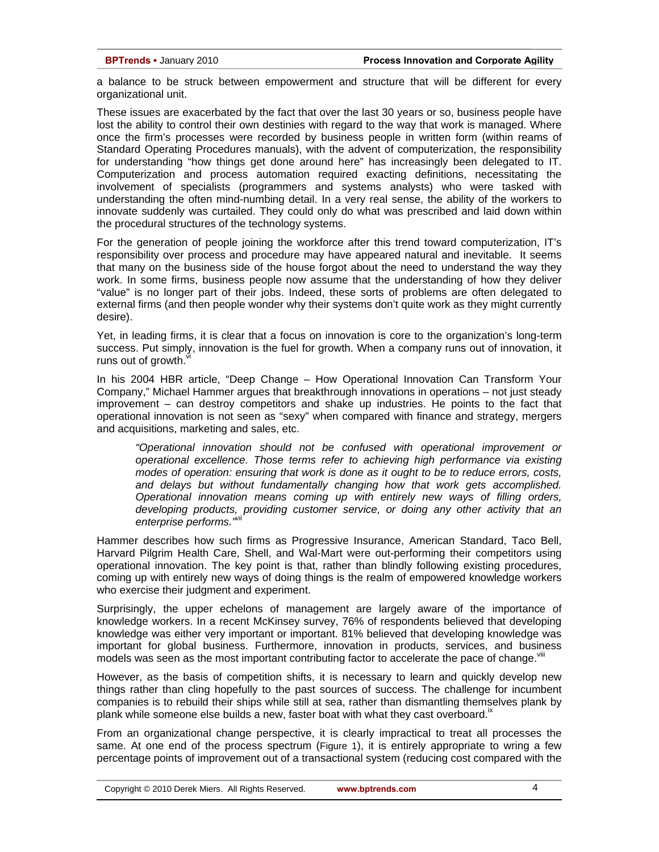a balance to be struck between empowerment and structure that will be different for every organizational unit.

These issues are exacerbated by the fact that over the last 30 years or so, business people have lost the ability to control their own destinies with regard to the way that work is managed. Where once the firm's processes were recorded by business people in written form (within reams of Standard Operating Procedures manuals), with the advent of computerization, the responsibility for understanding "how things get done around here" has increasingly been delegated to IT. Computerization and process automation required exacting definitions, necessitating the involvement of specialists (programmers and systems analysts) who were tasked with understanding the often mind-numbing detail. In a very real sense, the ability of the workers to innovate suddenly was curtailed. They could only do what was prescribed and laid down within the procedural structures of the technology systems.

For the generation of people joining the workforce after this trend toward computerization, IT's responsibility over process and procedure may have appeared natural and inevitable. It seems that many on the business side of the house forgot about the need to understand the way they work. In some firms, business people now assume that the understanding of how they deliver "value" is no longer part of their jobs. Indeed, these sorts of problems are often delegated to external firms (and then people wonder why their systems don't quite work as they might currently desire).

Yet, in leading firms, it is clear that a focus on innovation is core to the organization's long-term success. Put simply, innovation is the fuel for growth. When a company runs out of innovation, it runs out of growth.

In his 2004 HBR article, "Deep Change – How Operational Innovation Can Transform Your Company," Michael Hammer argues that breakthrough innovations in operations – not just steady improvement – can destroy competitors and shake up industries. He points to the fact that operational innovation is not seen as "sexy" when compared with finance and strategy, mergers and acquisitions, marketing and sales, etc.

*"Operational innovation should not be confused with operational improvement or operational excellence. Those terms refer to achieving high performance via existing modes of operation: ensuring that work is done as it ought to be to reduce errors, costs, and delays but without fundamentally changing how that work gets accomplished. Operational innovation means coming up with entirely new ways of filling orders, developing products, providing customer service, or doing any other activity that an enterprise performs."vii*

Hammer describes how such firms as Progressive Insurance, American Standard, Taco Bell, Harvard Pilgrim Health Care, Shell, and Wal-Mart were out-performing their competitors using operational innovation. The key point is that, rather than blindly following existing procedures, coming up with entirely new ways of doing things is the realm of empowered knowledge workers who exercise their judgment and experiment.

Surprisingly, the upper echelons of management are largely aware of the importance of knowledge workers. In a recent McKinsey survey, 76% of respondents believed that developing knowledge was either very important or important. 81% believed that developing knowledge was important for global business. Furthermore, innovation in products, services, and business models was seen as the most important contributing factor to accelerate the pace of change.

However, as the basis of competition shifts, it is necessary to learn and quickly develop new things rather than cling hopefully to the past sources of success. The challenge for incumbent companies is to rebuild their ships while still at sea, rather than dismantling themselves plank by plank while someone else builds a new, faster boat with what they cast overboard.<sup>"</sup>

From an organizational change perspective, it is clearly impractical to treat all processes the same. At one end of the process spectrum (Figure 1), it is entirely appropriate to wring a few percentage points of improvement out of a transactional system (reducing cost compared with the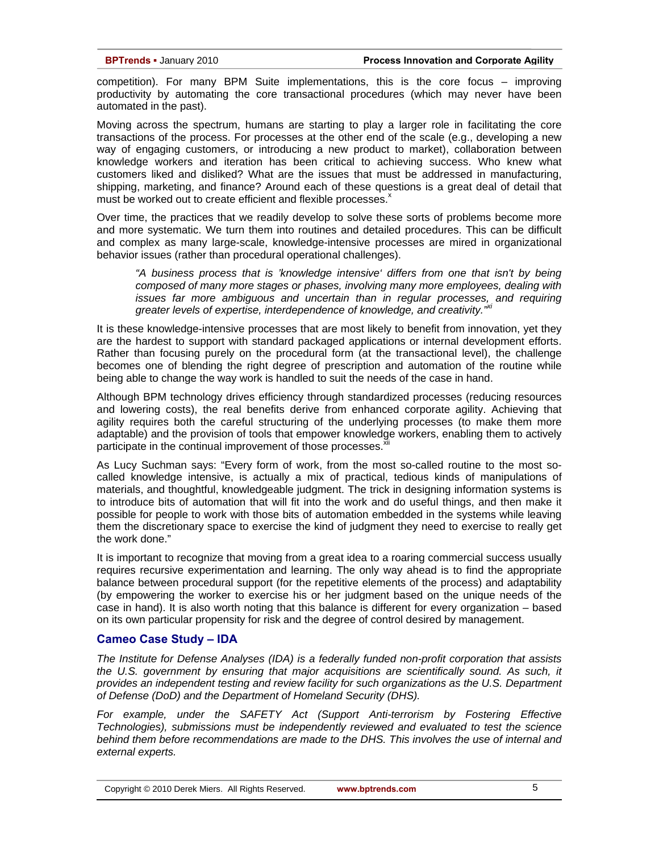competition). For many BPM Suite implementations, this is the core focus – improving productivity by automating the core transactional procedures (which may never have been automated in the past).

Moving across the spectrum, humans are starting to play a larger role in facilitating the core transactions of the process. For processes at the other end of the scale (e.g., developing a new way of engaging customers, or introducing a new product to market), collaboration between knowledge workers and iteration has been critical to achieving success. Who knew what customers liked and disliked? What are the issues that must be addressed in manufacturing, shipping, marketing, and finance? Around each of these questions is a great deal of detail that must be worked out to create efficient and flexible processes.<sup>x</sup>

Over time, the practices that we readily develop to solve these sorts of problems become more and more systematic. We turn them into routines and detailed procedures. This can be difficult and complex as many large-scale, knowledge-intensive processes are mired in organizational behavior issues (rather than procedural operational challenges).

*"A business process that is 'knowledge intensive' differs from one that isn't by being composed of many more stages or phases, involving many more employees, dealing with issues far more ambiguous and uncertain than in regular processes, and requiring*  greater levels of expertise, interdependence of knowledge, and creativity.<sup>"Xi</sup>

It is these knowledge-intensive processes that are most likely to benefit from innovation, yet they are the hardest to support with standard packaged applications or internal development efforts. Rather than focusing purely on the procedural form (at the transactional level), the challenge becomes one of blending the right degree of prescription and automation of the routine while being able to change the way work is handled to suit the needs of the case in hand.

Although BPM technology drives efficiency through standardized processes (reducing resources and lowering costs), the real benefits derive from enhanced corporate agility. Achieving that agility requires both the careful structuring of the underlying processes (to make them more adaptable) and the provision of tools that empower knowledge workers, enabling them to actively participate in the continual improvement of those processes.<sup>x</sup>

As Lucy Suchman says: "Every form of work, from the most so-called routine to the most socalled knowledge intensive, is actually a mix of practical, tedious kinds of manipulations of materials, and thoughtful, knowledgeable judgment. The trick in designing information systems is to introduce bits of automation that will fit into the work and do useful things, and then make it possible for people to work with those bits of automation embedded in the systems while leaving them the discretionary space to exercise the kind of judgment they need to exercise to really get the work done."

It is important to recognize that moving from a great idea to a roaring commercial success usually requires recursive experimentation and learning. The only way ahead is to find the appropriate balance between procedural support (for the repetitive elements of the process) and adaptability (by empowering the worker to exercise his or her judgment based on the unique needs of the case in hand). It is also worth noting that this balance is different for every organization – based on its own particular propensity for risk and the degree of control desired by management.

## **Cameo Case Study – IDA**

*The Institute for Defense Analyses (IDA) is a federally funded non-profit corporation that assists the U.S. government by ensuring that major acquisitions are scientifically sound. As such, it provides an independent testing and review facility for such organizations as the U.S. Department of Defense (DoD) and the Department of Homeland Security (DHS).* 

For example, under the SAFETY Act (Support Anti-terrorism by Fostering Effective *Technologies), submissions must be independently reviewed and evaluated to test the science behind them before recommendations are made to the DHS. This involves the use of internal and external experts.*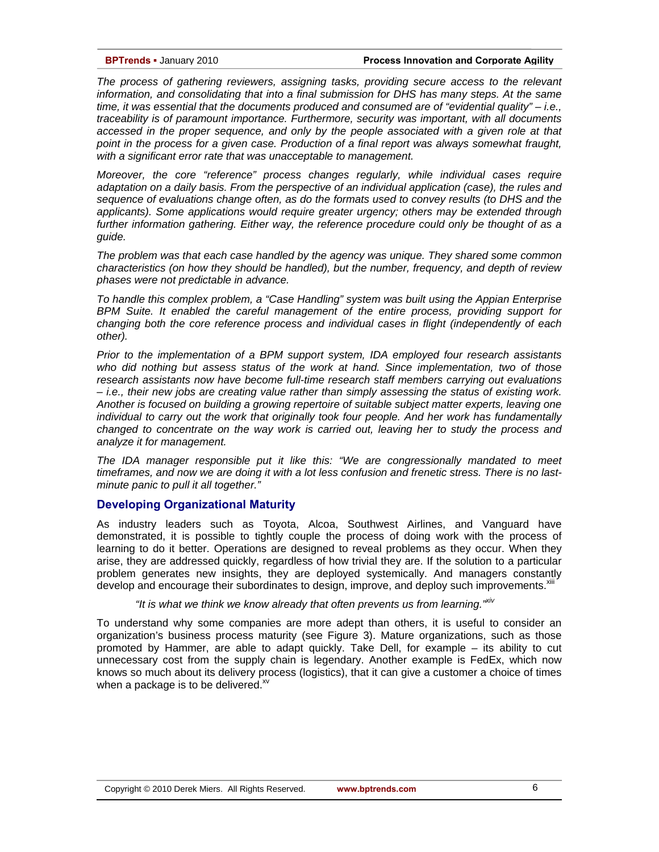*The process of gathering reviewers, assigning tasks, providing secure access to the relevant information, and consolidating that into a final submission for DHS has many steps. At the same time, it was essential that the documents produced and consumed are of "evidential quality" – i.e., traceability is of paramount importance. Furthermore, security was important, with all documents accessed in the proper sequence, and only by the people associated with a given role at that point in the process for a given case. Production of a final report was always somewhat fraught, with a significant error rate that was unacceptable to management.* 

*Moreover, the core "reference" process changes regularly, while individual cases require adaptation on a daily basis. From the perspective of an individual application (case), the rules and sequence of evaluations change often, as do the formats used to convey results (to DHS and the applicants). Some applications would require greater urgency; others may be extended through*  further information gathering. Either way, the reference procedure could only be thought of as a *guide.* 

*The problem was that each case handled by the agency was unique. They shared some common characteristics (on how they should be handled), but the number, frequency, and depth of review phases were not predictable in advance.* 

*To handle this complex problem, a "Case Handling" system was built using the Appian Enterprise BPM Suite. It enabled the careful management of the entire process, providing support for changing both the core reference process and individual cases in flight (independently of each other).* 

*Prior to the implementation of a BPM support system, IDA employed four research assistants who did nothing but assess status of the work at hand. Since implementation, two of those research assistants now have become full-time research staff members carrying out evaluations – i.e., their new jobs are creating value rather than simply assessing the status of existing work. Another is focused on building a growing repertoire of suitable subject matter experts, leaving one individual to carry out the work that originally took four people. And her work has fundamentally changed to concentrate on the way work is carried out, leaving her to study the process and analyze it for management.* 

*The IDA manager responsible put it like this: "We are congressionally mandated to meet timeframes, and now we are doing it with a lot less confusion and frenetic stress. There is no lastminute panic to pull it all together."* 

### **Developing Organizational Maturity**

As industry leaders such as Toyota, Alcoa, Southwest Airlines, and Vanguard have demonstrated, it is possible to tightly couple the process of doing work with the process of learning to do it better. Operations are designed to reveal problems as they occur. When they arise, they are addressed quickly, regardless of how trivial they are. If the solution to a particular problem generates new insights, they are deployed systemically. And managers constantly develop and encourage their subordinates to design, improve, and deploy such improvements.<sup>xii'</sup>

# *"It is what we think we know already that often prevents us from learning."xiv*

To understand why some companies are more adept than others, it is useful to consider an organization's business process maturity (see Figure 3). Mature organizations, such as those promoted by Hammer, are able to adapt quickly. Take Dell, for example – its ability to cut unnecessary cost from the supply chain is legendary. Another example is FedEx, which now knows so much about its delivery process (logistics), that it can give a customer a choice of times when a package is to be delivered. $\frac{1}{2}$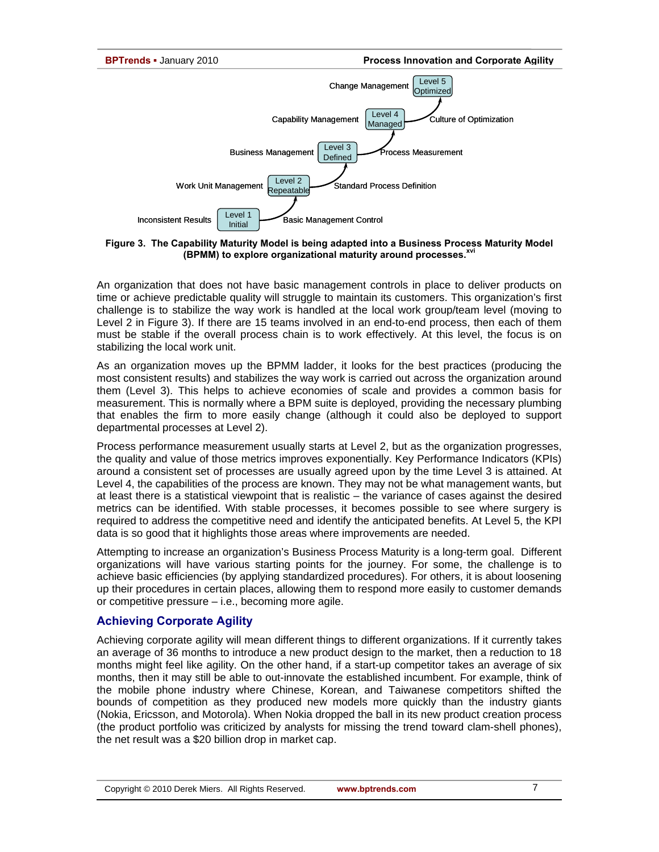

**Figure 3. The Capability Maturity Model is being adapted into a Business Process Maturity Model (BPMM) to explore organizational maturity around processes.xvi**

An organization that does not have basic management controls in place to deliver products on time or achieve predictable quality will struggle to maintain its customers. This organization's first challenge is to stabilize the way work is handled at the local work group/team level (moving to Level 2 in Figure 3). If there are 15 teams involved in an end-to-end process, then each of them must be stable if the overall process chain is to work effectively. At this level, the focus is on stabilizing the local work unit.

As an organization moves up the BPMM ladder, it looks for the best practices (producing the most consistent results) and stabilizes the way work is carried out across the organization around them (Level 3). This helps to achieve economies of scale and provides a common basis for measurement. This is normally where a BPM suite is deployed, providing the necessary plumbing that enables the firm to more easily change (although it could also be deployed to support departmental processes at Level 2).

Process performance measurement usually starts at Level 2, but as the organization progresses, the quality and value of those metrics improves exponentially. Key Performance Indicators (KPIs) around a consistent set of processes are usually agreed upon by the time Level 3 is attained. At Level 4, the capabilities of the process are known. They may not be what management wants, but at least there is a statistical viewpoint that is realistic – the variance of cases against the desired metrics can be identified. With stable processes, it becomes possible to see where surgery is required to address the competitive need and identify the anticipated benefits. At Level 5, the KPI data is so good that it highlights those areas where improvements are needed.

Attempting to increase an organization's Business Process Maturity is a long-term goal. Different organizations will have various starting points for the journey. For some, the challenge is to achieve basic efficiencies (by applying standardized procedures). For others, it is about loosening up their procedures in certain places, allowing them to respond more easily to customer demands or competitive pressure – i.e., becoming more agile.

# **Achieving Corporate Agility**

Achieving corporate agility will mean different things to different organizations. If it currently takes an average of 36 months to introduce a new product design to the market, then a reduction to 18 months might feel like agility. On the other hand, if a start-up competitor takes an average of six months, then it may still be able to out-innovate the established incumbent. For example, think of the mobile phone industry where Chinese, Korean, and Taiwanese competitors shifted the bounds of competition as they produced new models more quickly than the industry giants (Nokia, Ericsson, and Motorola). When Nokia dropped the ball in its new product creation process (the product portfolio was criticized by analysts for missing the trend toward clam-shell phones), the net result was a \$20 billion drop in market cap.

7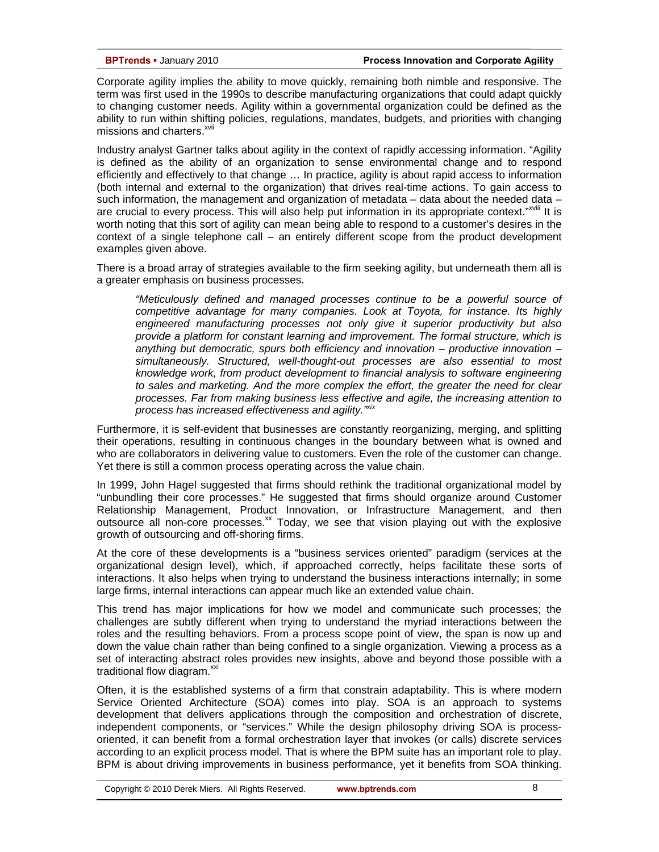Corporate agility implies the ability to move quickly, remaining both nimble and responsive. The term was first used in the 1990s to describe manufacturing organizations that could adapt quickly to changing customer needs. Agility within a governmental organization could be defined as the ability to run within shifting policies, regulations, mandates, budgets, and priorities with changing missions and charters.<sup>xvii</sup>

Industry analyst Gartner talks about agility in the context of rapidly accessing information. "Agility is defined as the ability of an organization to sense environmental change and to respond efficiently and effectively to that change … In practice, agility is about rapid access to information (both internal and external to the organization) that drives real-time actions. To gain access to such information, the management and organization of metadata  $-$  data about the needed data  $$ are crucial to every process. This will also help put information in its appropriate context."<sup>XVIII</sup> It is worth noting that this sort of agility can mean being able to respond to a customer's desires in the context of a single telephone call – an entirely different scope from the product development examples given above.

There is a broad array of strategies available to the firm seeking agility, but underneath them all is a greater emphasis on business processes.

*"Meticulously defined and managed processes continue to be a powerful source of competitive advantage for many companies. Look at Toyota, for instance. Its highly engineered manufacturing processes not only give it superior productivity but also provide a platform for constant learning and improvement. The formal structure, which is anything but democratic, spurs both efficiency and innovation – productive innovation – simultaneously. Structured, well-thought-out processes are also essential to most knowledge work, from product development to financial analysis to software engineering to sales and marketing. And the more complex the effort, the greater the need for clear processes. Far from making business less effective and agile, the increasing attention to process has increased effectiveness and agility."xix* 

Furthermore, it is self-evident that businesses are constantly reorganizing, merging, and splitting their operations, resulting in continuous changes in the boundary between what is owned and who are collaborators in delivering value to customers. Even the role of the customer can change. Yet there is still a common process operating across the value chain.

In 1999, John Hagel suggested that firms should rethink the traditional organizational model by "unbundling their core processes." He suggested that firms should organize around Customer Relationship Management, Product Innovation, or Infrastructure Management, and then outsource all non-core processes.<sup>xx</sup> Today, we see that vision playing out with the explosive growth of outsourcing and off-shoring firms.

At the core of these developments is a "business services oriented" paradigm (services at the organizational design level), which, if approached correctly, helps facilitate these sorts of interactions. It also helps when trying to understand the business interactions internally; in some large firms, internal interactions can appear much like an extended value chain.

This trend has major implications for how we model and communicate such processes; the challenges are subtly different when trying to understand the myriad interactions between the roles and the resulting behaviors. From a process scope point of view, the span is now up and down the value chain rather than being confined to a single organization. Viewing a process as a set of interacting abstract roles provides new insights, above and beyond those possible with a traditional flow diagram.<sup>xxi</sup>

Often, it is the established systems of a firm that constrain adaptability. This is where modern Service Oriented Architecture (SOA) comes into play. SOA is an approach to systems development that delivers applications through the composition and orchestration of discrete, independent components, or "services." While the design philosophy driving SOA is processoriented, it can benefit from a formal orchestration layer that invokes (or calls) discrete services according to an explicit process model. That is where the BPM suite has an important role to play. BPM is about driving improvements in business performance, yet it benefits from SOA thinking.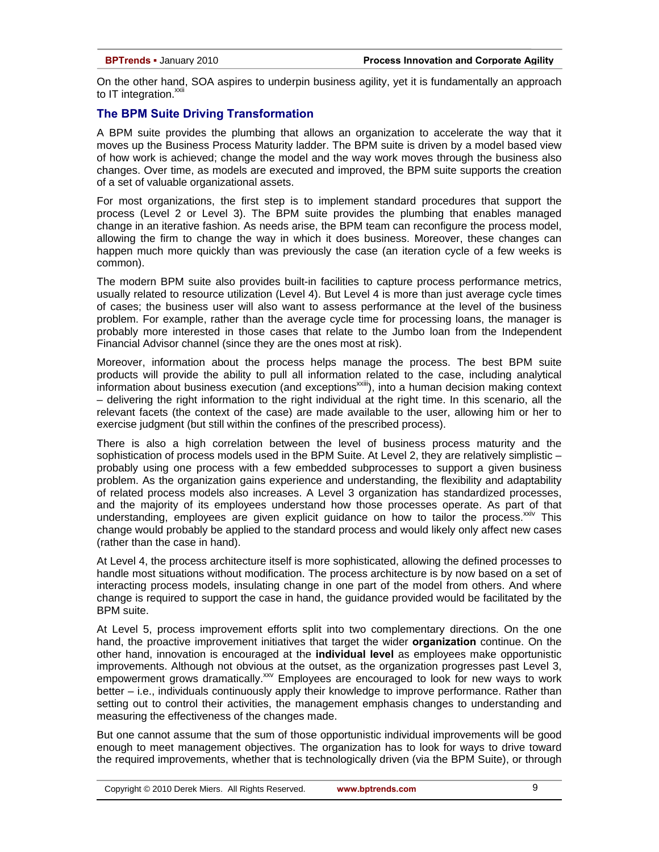On the other hand, SOA aspires to underpin business agility, yet it is fundamentally an approach to IT integration.<sup>xxii</sup>

# **The BPM Suite Driving Transformation**

A BPM suite provides the plumbing that allows an organization to accelerate the way that it moves up the Business Process Maturity ladder. The BPM suite is driven by a model based view of how work is achieved; change the model and the way work moves through the business also changes. Over time, as models are executed and improved, the BPM suite supports the creation of a set of valuable organizational assets.

For most organizations, the first step is to implement standard procedures that support the process (Level 2 or Level 3). The BPM suite provides the plumbing that enables managed change in an iterative fashion. As needs arise, the BPM team can reconfigure the process model, allowing the firm to change the way in which it does business. Moreover, these changes can happen much more quickly than was previously the case (an iteration cycle of a few weeks is common).

The modern BPM suite also provides built-in facilities to capture process performance metrics, usually related to resource utilization (Level 4). But Level 4 is more than just average cycle times of cases; the business user will also want to assess performance at the level of the business problem. For example, rather than the average cycle time for processing loans, the manager is probably more interested in those cases that relate to the Jumbo loan from the Independent Financial Advisor channel (since they are the ones most at risk).

Moreover, information about the process helps manage the process. The best BPM suite products will provide the ability to pull all information related to the case, including analytical information about business execution (and exceptions<sup>xxiii</sup>), into a human decision making context – delivering the right information to the right individual at the right time. In this scenario, all the relevant facets (the context of the case) are made available to the user, allowing him or her to exercise judgment (but still within the confines of the prescribed process).

There is also a high correlation between the level of business process maturity and the sophistication of process models used in the BPM Suite. At Level 2, they are relatively simplistic probably using one process with a few embedded subprocesses to support a given business problem. As the organization gains experience and understanding, the flexibility and adaptability of related process models also increases. A Level 3 organization has standardized processes, and the majority of its employees understand how those processes operate. As part of that understanding, employees are given explicit guidance on how to tailor the process. $x_{av}$  This change would probably be applied to the standard process and would likely only affect new cases (rather than the case in hand).

At Level 4, the process architecture itself is more sophisticated, allowing the defined processes to handle most situations without modification. The process architecture is by now based on a set of interacting process models, insulating change in one part of the model from others. And where change is required to support the case in hand, the guidance provided would be facilitated by the BPM suite.

At Level 5, process improvement efforts split into two complementary directions. On the one hand, the proactive improvement initiatives that target the wider **organization** continue. On the other hand, innovation is encouraged at the **individual level** as employees make opportunistic improvements. Although not obvious at the outset, as the organization progresses past Level 3, empowerment grows dramatically.<sup>xxv</sup> Employees are encouraged to look for new ways to work better – i.e., individuals continuously apply their knowledge to improve performance. Rather than setting out to control their activities, the management emphasis changes to understanding and measuring the effectiveness of the changes made.

But one cannot assume that the sum of those opportunistic individual improvements will be good enough to meet management objectives. The organization has to look for ways to drive toward the required improvements, whether that is technologically driven (via the BPM Suite), or through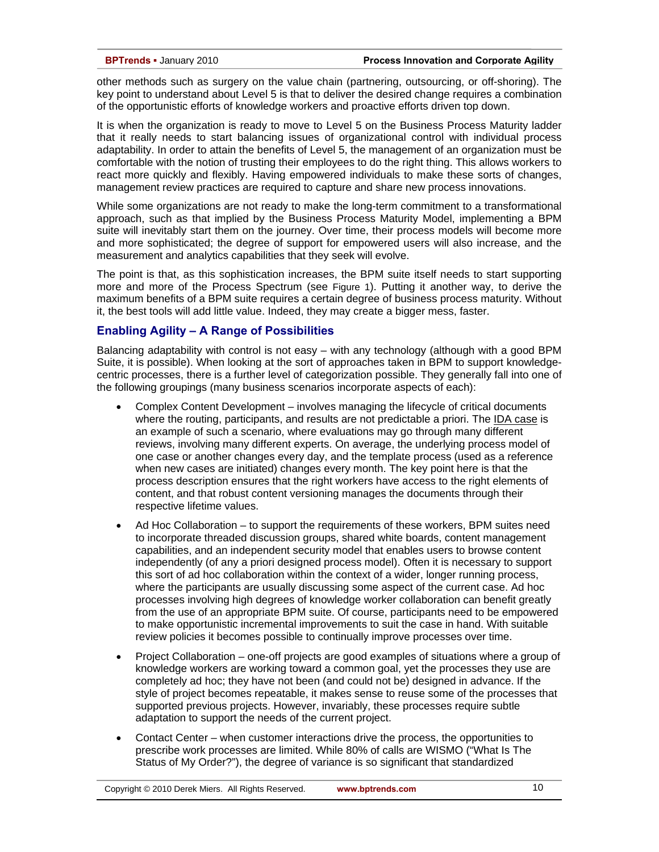other methods such as surgery on the value chain (partnering, outsourcing, or off-shoring). The key point to understand about Level 5 is that to deliver the desired change requires a combination of the opportunistic efforts of knowledge workers and proactive efforts driven top down.

It is when the organization is ready to move to Level 5 on the Business Process Maturity ladder that it really needs to start balancing issues of organizational control with individual process adaptability. In order to attain the benefits of Level 5, the management of an organization must be comfortable with the notion of trusting their employees to do the right thing. This allows workers to react more quickly and flexibly. Having empowered individuals to make these sorts of changes, management review practices are required to capture and share new process innovations.

While some organizations are not ready to make the long-term commitment to a transformational approach, such as that implied by the Business Process Maturity Model, implementing a BPM suite will inevitably start them on the journey. Over time, their process models will become more and more sophisticated; the degree of support for empowered users will also increase, and the measurement and analytics capabilities that they seek will evolve.

The point is that, as this sophistication increases, the BPM suite itself needs to start supporting more and more of the Process Spectrum (see Figure 1). Putting it another way, to derive the maximum benefits of a BPM suite requires a certain degree of business process maturity. Without it, the best tools will add little value. Indeed, they may create a bigger mess, faster.

# **Enabling Agility – A Range of Possibilities**

Balancing adaptability with control is not easy – with any technology (although with a good BPM Suite, it is possible). When looking at the sort of approaches taken in BPM to support knowledgecentric processes, there is a further level of categorization possible. They generally fall into one of the following groupings (many business scenarios incorporate aspects of each):

- Complex Content Development involves managing the lifecycle of critical documents where the routing, participants, and results are not predictable a priori. The IDA case is an example of such a scenario, where evaluations may go through many different reviews, involving many different experts. On average, the underlying process model of one case or another changes every day, and the template process (used as a reference when new cases are initiated) changes every month. The key point here is that the process description ensures that the right workers have access to the right elements of content, and that robust content versioning manages the documents through their respective lifetime values.
- Ad Hoc Collaboration to support the requirements of these workers, BPM suites need to incorporate threaded discussion groups, shared white boards, content management capabilities, and an independent security model that enables users to browse content independently (of any a priori designed process model). Often it is necessary to support this sort of ad hoc collaboration within the context of a wider, longer running process, where the participants are usually discussing some aspect of the current case. Ad hoc processes involving high degrees of knowledge worker collaboration can benefit greatly from the use of an appropriate BPM suite. Of course, participants need to be empowered to make opportunistic incremental improvements to suit the case in hand. With suitable review policies it becomes possible to continually improve processes over time.
- Project Collaboration one-off projects are good examples of situations where a group of knowledge workers are working toward a common goal, yet the processes they use are completely ad hoc; they have not been (and could not be) designed in advance. If the style of project becomes repeatable, it makes sense to reuse some of the processes that supported previous projects. However, invariably, these processes require subtle adaptation to support the needs of the current project.
- Contact Center when customer interactions drive the process, the opportunities to prescribe work processes are limited. While 80% of calls are WISMO ("What Is The Status of My Order?"), the degree of variance is so significant that standardized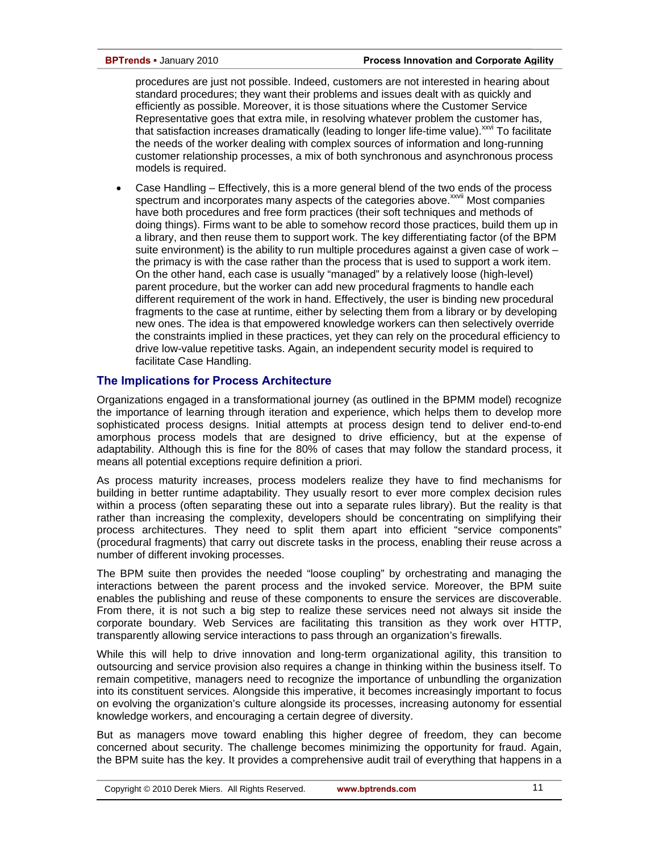procedures are just not possible. Indeed, customers are not interested in hearing about standard procedures; they want their problems and issues dealt with as quickly and efficiently as possible. Moreover, it is those situations where the Customer Service Representative goes that extra mile, in resolving whatever problem the customer has, that satisfaction increases dramatically (leading to longer life-time value). $x^{x}$  To facilitate the needs of the worker dealing with complex sources of information and long-running customer relationship processes, a mix of both synchronous and asynchronous process models is required.

• Case Handling – Effectively, this is a more general blend of the two ends of the process spectrum and incorporates many aspects of the categories above.<sup>xxvii</sup> Most companies have both procedures and free form practices (their soft techniques and methods of doing things). Firms want to be able to somehow record those practices, build them up in a library, and then reuse them to support work. The key differentiating factor (of the BPM suite environment) is the ability to run multiple procedures against a given case of work – the primacy is with the case rather than the process that is used to support a work item. On the other hand, each case is usually "managed" by a relatively loose (high-level) parent procedure, but the worker can add new procedural fragments to handle each different requirement of the work in hand. Effectively, the user is binding new procedural fragments to the case at runtime, either by selecting them from a library or by developing new ones. The idea is that empowered knowledge workers can then selectively override the constraints implied in these practices, yet they can rely on the procedural efficiency to drive low-value repetitive tasks. Again, an independent security model is required to facilitate Case Handling.

# **The Implications for Process Architecture**

Organizations engaged in a transformational journey (as outlined in the BPMM model) recognize the importance of learning through iteration and experience, which helps them to develop more sophisticated process designs. Initial attempts at process design tend to deliver end-to-end amorphous process models that are designed to drive efficiency, but at the expense of adaptability. Although this is fine for the 80% of cases that may follow the standard process, it means all potential exceptions require definition a priori.

As process maturity increases, process modelers realize they have to find mechanisms for building in better runtime adaptability. They usually resort to ever more complex decision rules within a process (often separating these out into a separate rules library). But the reality is that rather than increasing the complexity, developers should be concentrating on simplifying their process architectures. They need to split them apart into efficient "service components" (procedural fragments) that carry out discrete tasks in the process, enabling their reuse across a number of different invoking processes.

The BPM suite then provides the needed "loose coupling" by orchestrating and managing the interactions between the parent process and the invoked service. Moreover, the BPM suite enables the publishing and reuse of these components to ensure the services are discoverable. From there, it is not such a big step to realize these services need not always sit inside the corporate boundary. Web Services are facilitating this transition as they work over HTTP, transparently allowing service interactions to pass through an organization's firewalls.

While this will help to drive innovation and long-term organizational agility, this transition to outsourcing and service provision also requires a change in thinking within the business itself. To remain competitive, managers need to recognize the importance of unbundling the organization into its constituent services. Alongside this imperative, it becomes increasingly important to focus on evolving the organization's culture alongside its processes, increasing autonomy for essential knowledge workers, and encouraging a certain degree of diversity.

But as managers move toward enabling this higher degree of freedom, they can become concerned about security. The challenge becomes minimizing the opportunity for fraud. Again, the BPM suite has the key. It provides a comprehensive audit trail of everything that happens in a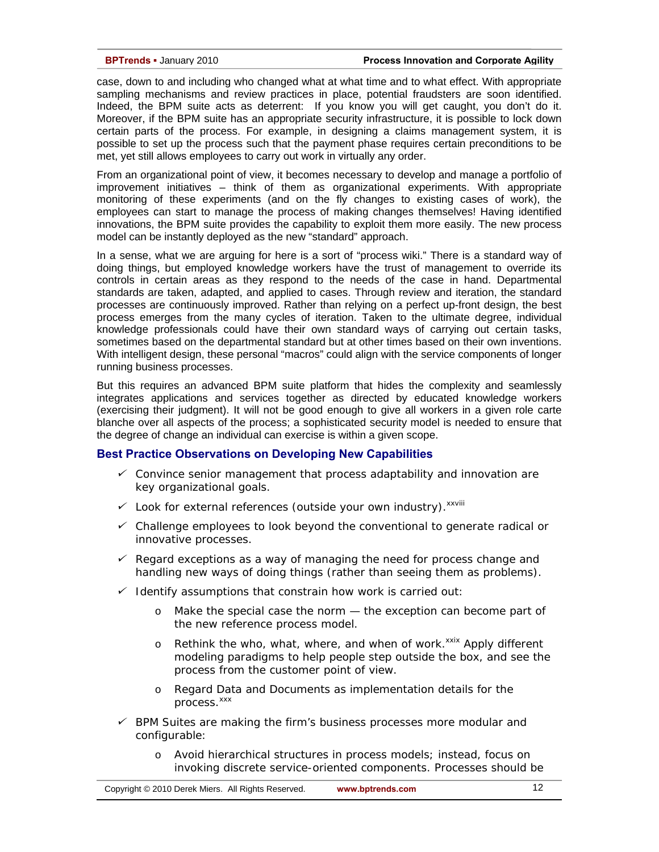case, down to and including who changed what at what time and to what effect. With appropriate sampling mechanisms and review practices in place, potential fraudsters are soon identified. Indeed, the BPM suite acts as deterrent: If you know you will get caught, you don't do it. Moreover, if the BPM suite has an appropriate security infrastructure, it is possible to lock down certain parts of the process. For example, in designing a claims management system, it is possible to set up the process such that the payment phase requires certain preconditions to be met, yet still allows employees to carry out work in virtually any order.

From an organizational point of view, it becomes necessary to develop and manage a portfolio of improvement initiatives – think of them as organizational experiments. With appropriate monitoring of these experiments (and on the fly changes to existing cases of work), the employees can start to manage the process of making changes themselves! Having identified innovations, the BPM suite provides the capability to exploit them more easily. The new process model can be instantly deployed as the new "standard" approach.

In a sense, what we are arguing for here is a sort of "process wiki." There is a standard way of doing things, but employed knowledge workers have the trust of management to override its controls in certain areas as they respond to the needs of the case in hand. Departmental standards are taken, adapted, and applied to cases. Through review and iteration, the standard processes are continuously improved. Rather than relying on a perfect up-front design, the best process emerges from the many cycles of iteration. Taken to the ultimate degree, individual knowledge professionals could have their own standard ways of carrying out certain tasks, sometimes based on the departmental standard but at other times based on their own inventions. With intelligent design, these personal "macros" could align with the service components of longer running business processes.

But this requires an advanced BPM suite platform that hides the complexity and seamlessly integrates applications and services together as directed by educated knowledge workers (exercising their judgment). It will not be good enough to give all workers in a given role carte blanche over all aspects of the process; a sophisticated security model is needed to ensure that the degree of change an individual can exercise is within a given scope.

# **Best Practice Observations on Developing New Capabilities**

- 9 *Convince senior management that process adaptability and innovation are key organizational goals.*
- 9 *Look for external references (outside your own industry).xxviii*
- 9 *Challenge employees to look beyond the conventional to generate radical or innovative processes.*
- 9 *Regard exceptions as a way of managing the need for process change and handling new ways of doing things (rather than seeing them as problems).*
- 9 *Identify assumptions that constrain how work is carried out:* 
	- o *Make the special case the norm the exception can become part of the new reference process model.*
	- o *Rethink the who, what, where, and when of work.<sup>xxix</sup> Apply different modeling paradigms to help people step outside the box, and see the process from the customer point of view.*
	- o *Regard Data and Documents as implementation details for the*  process.<sup>xxx</sup>
- 9 *BPM Suites are making the firm's business processes more modular and configurable:* 
	- o *Avoid hierarchical structures in process models; instead, focus on invoking discrete service-oriented components. Processes should be*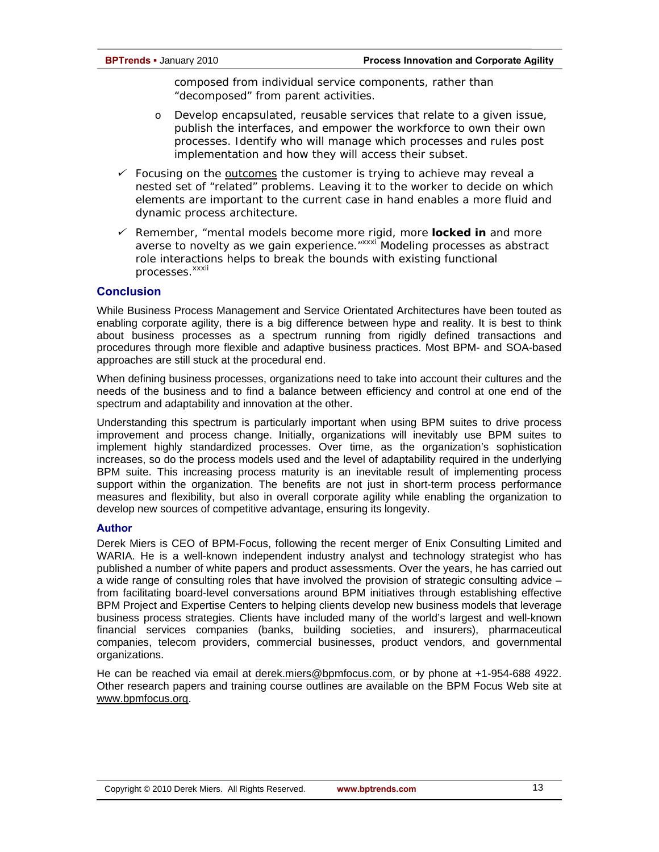*composed from individual service components, rather than "decomposed" from parent activities.* 

- o *Develop encapsulated, reusable services that relate to a given issue, publish the interfaces, and empower the workforce to own their own processes. Identify who will manage which processes and rules post implementation and how they will access their subset.*
- 9 *Focusing on the outcomes the customer is trying to achieve may reveal a nested set of "related" problems. Leaving it to the worker to decide on which elements are important to the current case in hand enables a more fluid and dynamic process architecture.*
- 9 *Remember, "mental models become more rigid, more locked in and more averse to novelty as we gain experience."xxxi Modeling processes as abstract role interactions helps to break the bounds with existing functional processes.*<sup>xxxii</sup>

# **Conclusion**

While Business Process Management and Service Orientated Architectures have been touted as enabling corporate agility, there is a big difference between hype and reality. It is best to think about business processes as a spectrum running from rigidly defined transactions and procedures through more flexible and adaptive business practices. Most BPM- and SOA-based approaches are still stuck at the procedural end.

When defining business processes, organizations need to take into account their cultures and the needs of the business and to find a balance between efficiency and control at one end of the spectrum and adaptability and innovation at the other.

Understanding this spectrum is particularly important when using BPM suites to drive process improvement and process change. Initially, organizations will inevitably use BPM suites to implement highly standardized processes. Over time, as the organization's sophistication increases, so do the process models used and the level of adaptability required in the underlying BPM suite. This increasing process maturity is an inevitable result of implementing process support within the organization. The benefits are not just in short-term process performance measures and flexibility, but also in overall corporate agility while enabling the organization to develop new sources of competitive advantage, ensuring its longevity.

### **Author**

Derek Miers is CEO of BPM-Focus, following the recent merger of Enix Consulting Limited and WARIA. He is a well-known independent industry analyst and technology strategist who has published a number of white papers and product assessments. Over the years, he has carried out a wide range of consulting roles that have involved the provision of strategic consulting advice – from facilitating board-level conversations around BPM initiatives through establishing effective BPM Project and Expertise Centers to helping clients develop new business models that leverage business process strategies. Clients have included many of the world's largest and well-known financial services companies (banks, building societies, and insurers), pharmaceutical companies, telecom providers, commercial businesses, product vendors, and governmental organizations.

He can be reached via email at derek.miers@bpmfocus.com, or by phone at +1-954-688 4922. Other research papers and training course outlines are available on the BPM Focus Web site at www.bpmfocus.org.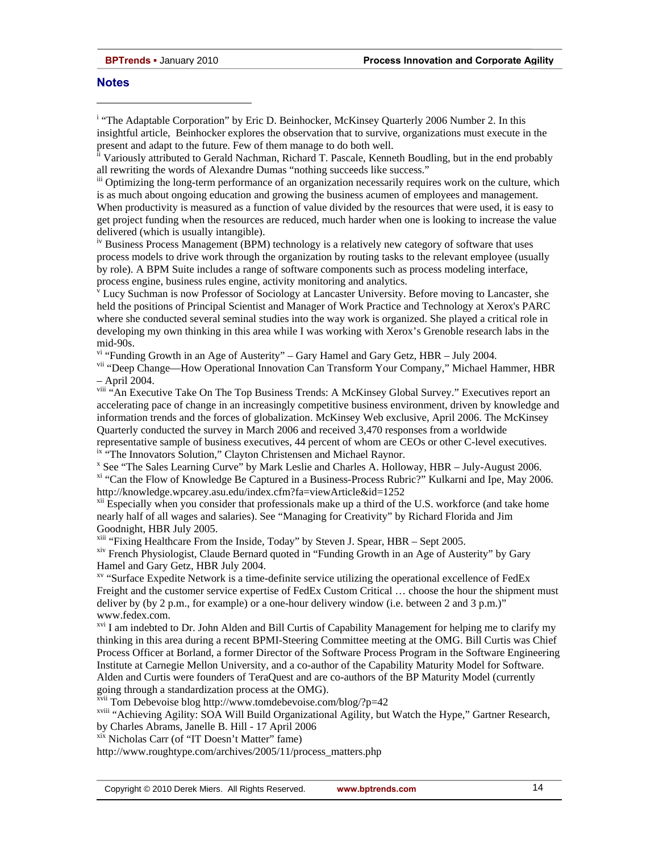### **Notes**

l

<sup>i</sup> "The Adaptable Corporation" by Eric D. Beinhocker, McKinsey Quarterly 2006 Number 2. In this insightful article, Beinhocker explores the observation that to survive, organizations must execute in the present and adapt to the future. Few of them manage to do both well.

<sup>ii</sup> Variously attributed to Gerald Nachman, Richard T. Pascale, Kenneth Boudling, but in the end probably all rewriting the words of Alexandre Dumas "nothing succeeds like success."

<sup>iii</sup> Optimizing the long-term performance of an organization necessarily requires work on the culture, which is as much about ongoing education and growing the business acumen of employees and management. When productivity is measured as a function of value divided by the resources that were used, it is easy to get project funding when the resources are reduced, much harder when one is looking to increase the value delivered (which is usually intangible).

iv Business Process Management (BPM) technology is a relatively new category of software that uses process models to drive work through the organization by routing tasks to the relevant employee (usually by role). A BPM Suite includes a range of software components such as process modeling interface, process engine, business rules engine, activity monitoring and analytics.

<sup>v</sup> Lucy Suchman is now Professor of Sociology at Lancaster University. Before moving to Lancaster, she held the positions of Principal Scientist and Manager of Work Practice and Technology at Xerox's PARC where she conducted several seminal studies into the way work is organized. She played a critical role in developing my own thinking in this area while I was working with Xerox's Grenoble research labs in the mid-90s.

 $v<sup>i</sup>$  "Funding Growth in an Age of Austerity" – Gary Hamel and Gary Getz, HBR – July 2004.

vii "Deep Change—How Operational Innovation Can Transform Your Company," Michael Hammer, HBR – April 2004.

viii "An Executive Take On The Top Business Trends: A McKinsey Global Survey." Executives report an accelerating pace of change in an increasingly competitive business environment, driven by knowledge and information trends and the forces of globalization. McKinsey Web exclusive, April 2006. The McKinsey Quarterly conducted the survey in March 2006 and received 3,470 responses from a worldwide representative sample of business executives, 44 percent of whom are CEOs or other C-level executives. <sup>ix "</sup>The Innovators Solution," Clayton Christensen and Michael Raynor.

x See "The Sales Learning Curve" by Mark Leslie and Charles A. Holloway, HBR – July-August 2006.

xi "Can the Flow of Knowledge Be Captured in a Business-Process Rubric?" Kulkarni and Ipe, May 2006. http://knowledge.wpcarey.asu.edu/index.cfm?fa=viewArticle&id=1252<br><sup>xii</sup> Especially when you consider that professionals make up a third of the U.S. workforce (and take home

nearly half of all wages and salaries). See "Managing for Creativity" by Richard Florida and Jim Goodnight, HBR July 2005.

<sup>xiii</sup> "Fixing Healthcare From the Inside, Today" by Steven J. Spear, HBR – Sept 2005.

xiv French Physiologist, Claude Bernard quoted in "Funding Growth in an Age of Austerity" by Gary Hamel and Gary Getz, HBR July 2004.

xv "Surface Expedite Network is a time-definite service utilizing the operational excellence of FedEx Freight and the customer service expertise of FedEx Custom Critical ... choose the hour the shipment must deliver by (by 2 p.m., for example) or a one-hour delivery window (i.e. between 2 and 3 p.m.)" www.fedex.com.

<sup>xvi</sup> I am indebted to Dr. John Alden and Bill Curtis of Capability Management for helping me to clarify my thinking in this area during a recent BPMI-Steering Committee meeting at the OMG. Bill Curtis was Chief Process Officer at Borland, a former Director of the Software Process Program in the Software Engineering Institute at Carnegie Mellon University, and a co-author of the Capability Maturity Model for Software. Alden and Curtis were founders of TeraQuest and are co-authors of the BP Maturity Model (currently going through a standardization process at the OMG).

xvii Tom Debevoise blog http://www.tomdebevoise.com/blog/?p=42

xviii "Achieving Agility: SOA Will Build Organizational Agility, but Watch the Hype," Gartner Research, by Charles Abrams, Janelle B. Hill - 17 April 2006

xix Nicholas Carr (of "IT Doesn't Matter" fame)

http://www.roughtype.com/archives/2005/11/process\_matters.php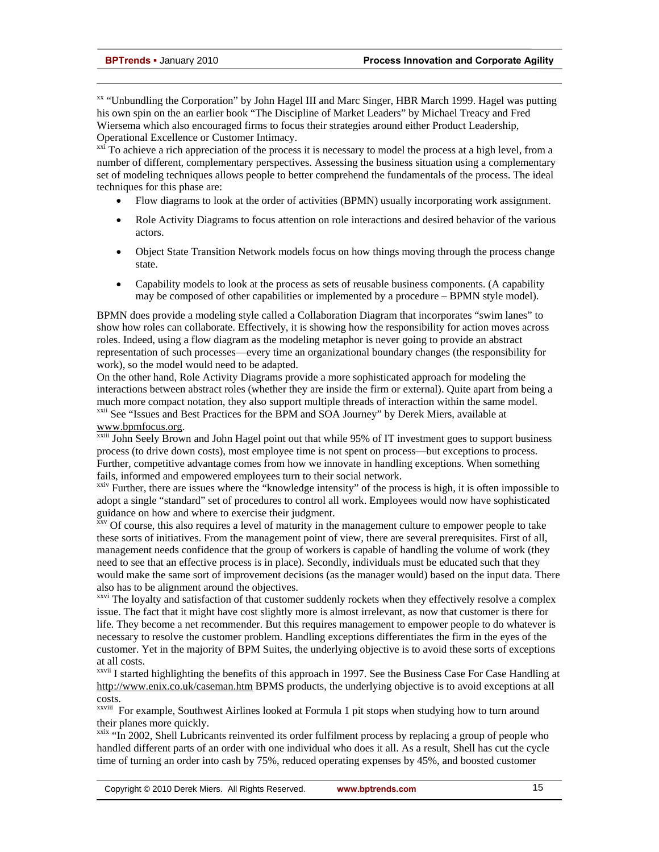l

<sup>xx</sup> "Unbundling the Corporation" by John Hagel III and Marc Singer, HBR March 1999. Hagel was putting his own spin on the an earlier book "The Discipline of Market Leaders" by Michael Treacy and Fred Wiersema which also encouraged firms to focus their strategies around either Product Leadership, Operational Excellence or Customer Intimacy.

 $x^{\text{xxi}}$  To achieve a rich appreciation of the process it is necessary to model the process at a high level, from a number of different, complementary perspectives. Assessing the business situation using a complementary set of modeling techniques allows people to better comprehend the fundamentals of the process. The ideal techniques for this phase are:

- Flow diagrams to look at the order of activities (BPMN) usually incorporating work assignment.
- Role Activity Diagrams to focus attention on role interactions and desired behavior of the various actors.
- Object State Transition Network models focus on how things moving through the process change state.
- Capability models to look at the process as sets of reusable business components. (A capability may be composed of other capabilities or implemented by a procedure – BPMN style model).

BPMN does provide a modeling style called a Collaboration Diagram that incorporates "swim lanes" to show how roles can collaborate. Effectively, it is showing how the responsibility for action moves across roles. Indeed, using a flow diagram as the modeling metaphor is never going to provide an abstract representation of such processes—every time an organizational boundary changes (the responsibility for work), so the model would need to be adapted.

On the other hand, Role Activity Diagrams provide a more sophisticated approach for modeling the interactions between abstract roles (whether they are inside the firm or external). Quite apart from being a much more compact notation, they also support multiple threads of interaction within the same model.<br><sup>xxii</sup> See "Issues and Best Practices for the BPM and SOA Journey" by Derek Miers, available at

www.bpmfocus.org.<br><sup>xxiii</sup> John Seely Brown and John Hagel point out that while 95% of IT investment goes to support business process (to drive down costs), most employee time is not spent on process—but exceptions to process. Further, competitive advantage comes from how we innovate in handling exceptions. When something fails, informed and empowered employees turn to their social network.

 $\frac{x}{y}$  Further, there are issues where the "knowledge intensity" of the process is high, it is often impossible to adopt a single "standard" set of procedures to control all work. Employees would now have sophisticated guidance on how and where to exercise their judgment.

xxv Of course, this also requires a level of maturity in the management culture to empower people to take these sorts of initiatives. From the management point of view, there are several prerequisites. First of all, management needs confidence that the group of workers is capable of handling the volume of work (they need to see that an effective process is in place). Secondly, individuals must be educated such that they would make the same sort of improvement decisions (as the manager would) based on the input data. There also has to be alignment around the objectives.

<sup>xxvi</sup> The loyalty and satisfaction of that customer suddenly rockets when they effectively resolve a complex issue. The fact that it might have cost slightly more is almost irrelevant, as now that customer is there for life. They become a net recommender. But this requires management to empower people to do whatever is necessary to resolve the customer problem. Handling exceptions differentiates the firm in the eyes of the customer. Yet in the majority of BPM Suites, the underlying objective is to avoid these sorts of exceptions at all costs.

xxvii I started highlighting the benefits of this approach in 1997. See the Business Case For Case Handling at http://www.enix.co.uk/caseman.htm BPMS products, the underlying objective is to avoid exceptions at all costs.

xxviii For example, Southwest Airlines looked at Formula 1 pit stops when studying how to turn around their planes more quickly.

<sup>xxix</sup> "In 2002, Shell Lubricants reinvented its order fulfilment process by replacing a group of people who handled different parts of an order with one individual who does it all. As a result, Shell has cut the cycle time of turning an order into cash by 75%, reduced operating expenses by 45%, and boosted customer